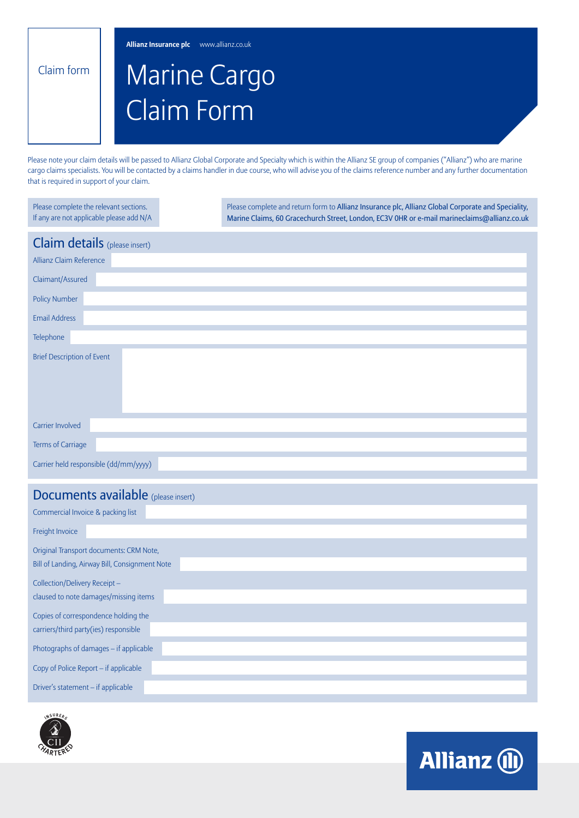**Allianz Insurance plc** www.allianz.co.uk

Claim form

## Marine Cargo Claim Form

Please note your claim details will be passed to Allianz Global Corporate and Specialty which is within the Allianz SE group of companies ("Allianz") who are marine cargo claims specialists. You will be contacted by a claims handler in due course, who will advise you of the claims reference number and any further documentation that is required in support of your claim.

| Please complete the relevant sections.<br>If any are not applicable please add N/A | Please complete and return form to Allianz Insurance plc, Allianz Global Corporate and Speciality,<br>Marine Claims, 60 Gracechurch Street, London, EC3V OHR or e-mail marineclaims@allianz.co.uk |
|------------------------------------------------------------------------------------|---------------------------------------------------------------------------------------------------------------------------------------------------------------------------------------------------|
| Claim details (please insert)                                                      |                                                                                                                                                                                                   |
| Allianz Claim Reference                                                            |                                                                                                                                                                                                   |
| Claimant/Assured                                                                   |                                                                                                                                                                                                   |
| <b>Policy Number</b>                                                               |                                                                                                                                                                                                   |
| <b>Email Address</b>                                                               |                                                                                                                                                                                                   |
| Telephone                                                                          |                                                                                                                                                                                                   |
| <b>Brief Description of Event</b>                                                  |                                                                                                                                                                                                   |
|                                                                                    |                                                                                                                                                                                                   |
|                                                                                    |                                                                                                                                                                                                   |
|                                                                                    |                                                                                                                                                                                                   |
| <b>Carrier Involved</b>                                                            |                                                                                                                                                                                                   |
| Terms of Carriage                                                                  |                                                                                                                                                                                                   |
| Carrier held responsible (dd/mm/yyyy)                                              |                                                                                                                                                                                                   |
| <b>Documents available</b> (please insert)                                         |                                                                                                                                                                                                   |
| Commercial Invoice & packing list                                                  |                                                                                                                                                                                                   |
| Freight Invoice                                                                    |                                                                                                                                                                                                   |
| Original Transport documents: CRM Note,                                            |                                                                                                                                                                                                   |
| Bill of Landing, Airway Bill, Consignment Note                                     |                                                                                                                                                                                                   |
| Collection/Delivery Receipt-                                                       |                                                                                                                                                                                                   |
| claused to note damages/missing items                                              |                                                                                                                                                                                                   |
| Copies of correspondence holding the                                               |                                                                                                                                                                                                   |
| carriers/third party(ies) responsible                                              |                                                                                                                                                                                                   |
| Photographs of damages - if applicable                                             |                                                                                                                                                                                                   |
| Copy of Police Report - if applicable                                              |                                                                                                                                                                                                   |
| Driver's statement - if applicable                                                 |                                                                                                                                                                                                   |